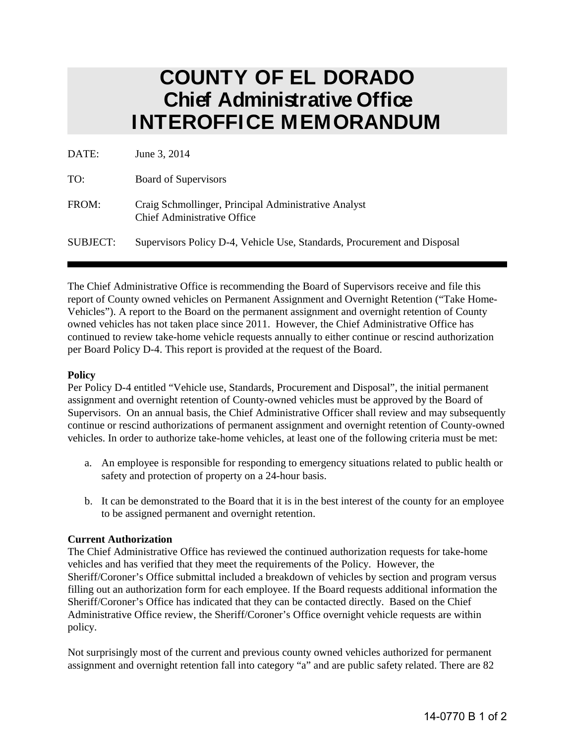## **COUNTY OF EL DORADO Chief Administrative Office INTEROFFICE MEMORANDUM**

| DATE:           | June 3, 2014                                                                               |
|-----------------|--------------------------------------------------------------------------------------------|
| TO:             | <b>Board of Supervisors</b>                                                                |
| FROM:           | Craig Schmollinger, Principal Administrative Analyst<br><b>Chief Administrative Office</b> |
| <b>SUBJECT:</b> | Supervisors Policy D-4, Vehicle Use, Standards, Procurement and Disposal                   |

The Chief Administrative Office is recommending the Board of Supervisors receive and file this report of County owned vehicles on Permanent Assignment and Overnight Retention ("Take Home-Vehicles"). A report to the Board on the permanent assignment and overnight retention of County owned vehicles has not taken place since 2011. However, the Chief Administrative Office has continued to review take-home vehicle requests annually to either continue or rescind authorization per Board Policy D-4. This report is provided at the request of the Board.

## **Policy**

Per Policy D-4 entitled "Vehicle use, Standards, Procurement and Disposal", the initial permanent assignment and overnight retention of County-owned vehicles must be approved by the Board of Supervisors. On an annual basis, the Chief Administrative Officer shall review and may subsequently continue or rescind authorizations of permanent assignment and overnight retention of County-owned vehicles. In order to authorize take-home vehicles, at least one of the following criteria must be met:

- a. An employee is responsible for responding to emergency situations related to public health or safety and protection of property on a 24-hour basis.
- b. It can be demonstrated to the Board that it is in the best interest of the county for an employee to be assigned permanent and overnight retention.

## **Current Authorization**

The Chief Administrative Office has reviewed the continued authorization requests for take-home vehicles and has verified that they meet the requirements of the Policy. However, the Sheriff/Coroner's Office submittal included a breakdown of vehicles by section and program versus filling out an authorization form for each employee. If the Board requests additional information the Sheriff/Coroner's Office has indicated that they can be contacted directly. Based on the Chief Administrative Office review, the Sheriff/Coroner's Office overnight vehicle requests are within policy.

Not surprisingly most of the current and previous county owned vehicles authorized for permanent assignment and overnight retention fall into category "a" and are public safety related. There are 82